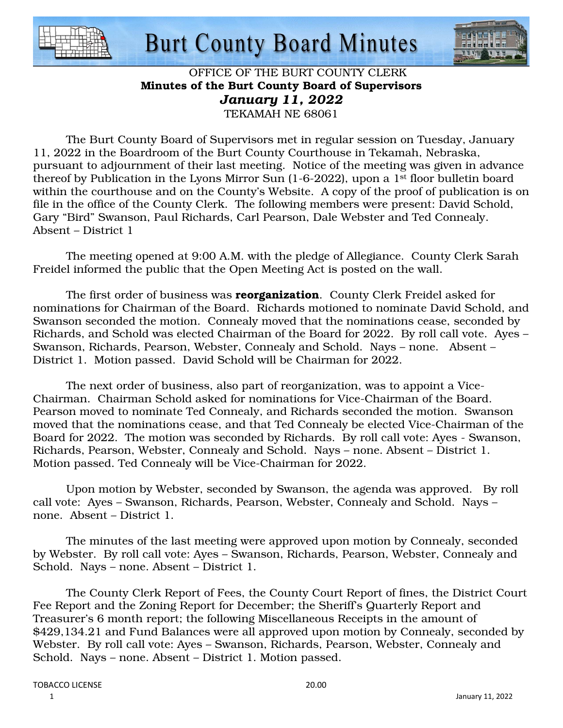

# **Burt County Board Minutes**



# OFFICE OF THE BURT COUNTY CLERK Minutes of the Burt County Board of Supervisors *January 11, 2022*  TEKAMAH NE 68061

 The Burt County Board of Supervisors met in regular session on Tuesday, January 11, 2022 in the Boardroom of the Burt County Courthouse in Tekamah, Nebraska, pursuant to adjournment of their last meeting. Notice of the meeting was given in advance thereof by Publication in the Lyons Mirror Sun (1-6-2022), upon a 1st floor bulletin board within the courthouse and on the County's Website. A copy of the proof of publication is on file in the office of the County Clerk. The following members were present: David Schold, Gary "Bird" Swanson, Paul Richards, Carl Pearson, Dale Webster and Ted Connealy. Absent – District 1

 The meeting opened at 9:00 A.M. with the pledge of Allegiance. County Clerk Sarah Freidel informed the public that the Open Meeting Act is posted on the wall.

The first order of business was **reorganization**. County Clerk Freidel asked for nominations for Chairman of the Board. Richards motioned to nominate David Schold, and Swanson seconded the motion. Connealy moved that the nominations cease, seconded by Richards, and Schold was elected Chairman of the Board for 2022. By roll call vote. Ayes – Swanson, Richards, Pearson, Webster, Connealy and Schold. Nays – none. Absent – District 1. Motion passed. David Schold will be Chairman for 2022.

 The next order of business, also part of reorganization, was to appoint a Vice-Chairman. Chairman Schold asked for nominations for Vice-Chairman of the Board. Pearson moved to nominate Ted Connealy, and Richards seconded the motion. Swanson moved that the nominations cease, and that Ted Connealy be elected Vice-Chairman of the Board for 2022. The motion was seconded by Richards. By roll call vote: Ayes - Swanson, Richards, Pearson, Webster, Connealy and Schold. Nays – none. Absent – District 1. Motion passed. Ted Connealy will be Vice-Chairman for 2022.

 Upon motion by Webster, seconded by Swanson, the agenda was approved. By roll call vote: Ayes – Swanson, Richards, Pearson, Webster, Connealy and Schold. Nays – none. Absent – District 1.

 The minutes of the last meeting were approved upon motion by Connealy, seconded by Webster. By roll call vote: Ayes – Swanson, Richards, Pearson, Webster, Connealy and Schold. Nays – none. Absent – District 1.

 The County Clerk Report of Fees, the County Court Report of fines, the District Court Fee Report and the Zoning Report for December; the Sheriff's Quarterly Report and Treasurer's 6 month report; the following Miscellaneous Receipts in the amount of \$429,134.21 and Fund Balances were all approved upon motion by Connealy, seconded by Webster. By roll call vote: Ayes – Swanson, Richards, Pearson, Webster, Connealy and Schold. Nays – none. Absent – District 1. Motion passed.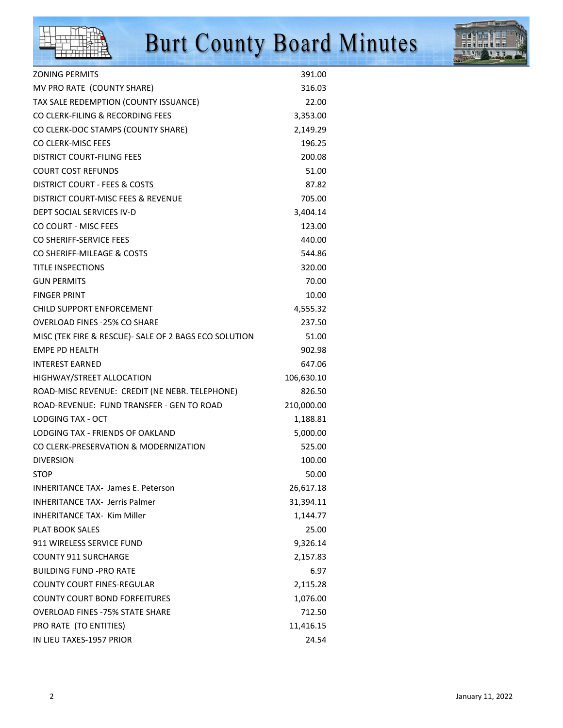# **Burt County Board Minutes**



| <b>ZONING PERMITS</b>                                  | 391.00     |
|--------------------------------------------------------|------------|
| MV PRO RATE (COUNTY SHARE)                             | 316.03     |
| TAX SALE REDEMPTION (COUNTY ISSUANCE)                  | 22.00      |
| CO CLERK-FILING & RECORDING FEES                       | 3,353.00   |
| CO CLERK-DOC STAMPS (COUNTY SHARE)                     | 2,149.29   |
| CO CLERK-MISC FEES                                     | 196.25     |
| <b>DISTRICT COURT-FILING FEES</b>                      | 200.08     |
| <b>COURT COST REFUNDS</b>                              | 51.00      |
| DISTRICT COURT - FEES & COSTS                          | 87.82      |
| DISTRICT COURT-MISC FEES & REVENUE                     | 705.00     |
| DEPT SOCIAL SERVICES IV-D                              | 3,404.14   |
| CO COURT - MISC FEES                                   | 123.00     |
| CO SHERIFF-SERVICE FEES                                | 440.00     |
| CO SHERIFF-MILEAGE & COSTS                             | 544.86     |
| <b>TITLE INSPECTIONS</b>                               | 320.00     |
| <b>GUN PERMITS</b>                                     | 70.00      |
| <b>FINGER PRINT</b>                                    | 10.00      |
| <b>CHILD SUPPORT ENFORCEMENT</b>                       | 4,555.32   |
| <b>OVERLOAD FINES -25% CO SHARE</b>                    | 237.50     |
| MISC (TEK FIRE & RESCUE) - SALE OF 2 BAGS ECO SOLUTION | 51.00      |
| <b>EMPE PD HEALTH</b>                                  | 902.98     |
| <b>INTEREST EARNED</b>                                 | 647.06     |
| HIGHWAY/STREET ALLOCATION                              | 106,630.10 |
| ROAD-MISC REVENUE: CREDIT (NE NEBR. TELEPHONE)         | 826.50     |
| ROAD-REVENUE: FUND TRANSFER - GEN TO ROAD              | 210,000.00 |
| LODGING TAX - OCT                                      | 1,188.81   |
| LODGING TAX - FRIENDS OF OAKLAND                       | 5,000.00   |
| CO CLERK-PRESERVATION & MODERNIZATION                  | 525.00     |
| <b>DIVERSION</b>                                       | 100.00     |
| STOP                                                   | 50.00      |
| <b>INHERITANCE TAX- James E. Peterson</b>              | 26,617.18  |
| <b>INHERITANCE TAX- Jerris Palmer</b>                  | 31,394.11  |
| <b>INHERITANCE TAX- Kim Miller</b>                     | 1,144.77   |
| <b>PLAT BOOK SALES</b>                                 | 25.00      |
| 911 WIRELESS SERVICE FUND                              | 9,326.14   |
| <b>COUNTY 911 SURCHARGE</b>                            | 2,157.83   |
| <b>BUILDING FUND -PRO RATE</b>                         | 6.97       |
| <b>COUNTY COURT FINES-REGULAR</b>                      | 2,115.28   |
| <b>COUNTY COURT BOND FORFEITURES</b>                   | 1,076.00   |
| <b>OVERLOAD FINES - 75% STATE SHARE</b>                | 712.50     |
| PRO RATE (TO ENTITIES)                                 | 11,416.15  |
| IN LIEU TAXES-1957 PRIOR                               | 24.54      |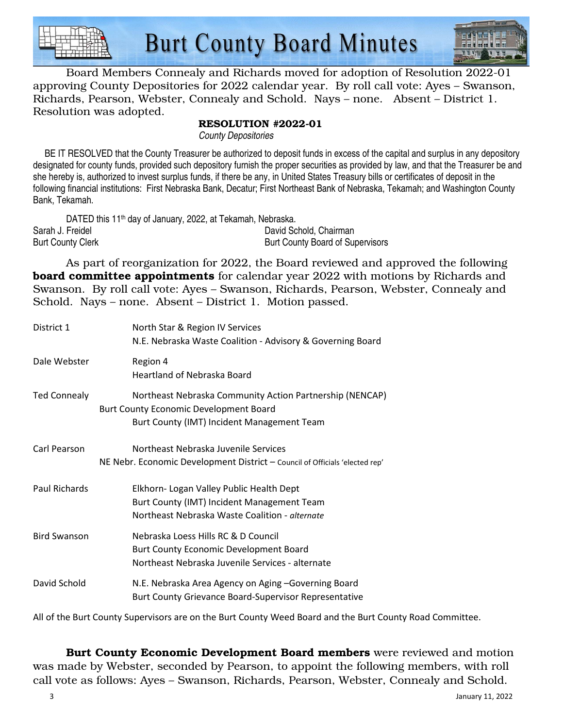



 Board Members Connealy and Richards moved for adoption of Resolution 2022-01 approving County Depositories for 2022 calendar year. By roll call vote: Ayes – Swanson, Richards, Pearson, Webster, Connealy and Schold. Nays – none. Absent – District 1. Resolution was adopted.

## RESOLUTION #2022-01

County Depositories

 BE IT RESOLVED that the County Treasurer be authorized to deposit funds in excess of the capital and surplus in any depository designated for county funds, provided such depository furnish the proper securities as provided by law, and that the Treasurer be and she hereby is, authorized to invest surplus funds, if there be any, in United States Treasury bills or certificates of deposit in the following financial institutions: First Nebraska Bank, Decatur; First Northeast Bank of Nebraska, Tekamah; and Washington County Bank, Tekamah.

| DATED this 11 <sup>th</sup> day of January, 2022, at Tekamah, Nebraska. |                                  |
|-------------------------------------------------------------------------|----------------------------------|
| Sarah J. Freidel                                                        | David Schold, Chairman           |
| <b>Burt County Clerk</b>                                                | Burt County Board of Supervisors |

 As part of reorganization for 2022, the Board reviewed and approved the following **board committee appointments** for calendar year 2022 with motions by Richards and Swanson. By roll call vote: Ayes – Swanson, Richards, Pearson, Webster, Connealy and Schold. Nays – none. Absent – District 1. Motion passed.

| District 1          | North Star & Region IV Services<br>N.E. Nebraska Waste Coalition - Advisory & Governing Board                                                           |
|---------------------|---------------------------------------------------------------------------------------------------------------------------------------------------------|
| Dale Webster        | Region 4<br>Heartland of Nebraska Board                                                                                                                 |
| <b>Ted Connealy</b> | Northeast Nebraska Community Action Partnership (NENCAP)<br><b>Burt County Economic Development Board</b><br>Burt County (IMT) Incident Management Team |
| Carl Pearson        | Northeast Nebraska Juvenile Services<br>NE Nebr. Economic Development District - Council of Officials 'elected rep'                                     |
| Paul Richards       | Elkhorn- Logan Valley Public Health Dept<br>Burt County (IMT) Incident Management Team<br>Northeast Nebraska Waste Coalition - alternate                |
| <b>Bird Swanson</b> | Nebraska Loess Hills RC & D Council<br><b>Burt County Economic Development Board</b><br>Northeast Nebraska Juvenile Services - alternate                |
| David Schold        | N.E. Nebraska Area Agency on Aging -Governing Board<br>Burt County Grievance Board-Supervisor Representative                                            |

All of the Burt County Supervisors are on the Burt County Weed Board and the Burt County Road Committee.

 Burt County Economic Development Board members were reviewed and motion was made by Webster, seconded by Pearson, to appoint the following members, with roll call vote as follows: Ayes – Swanson, Richards, Pearson, Webster, Connealy and Schold.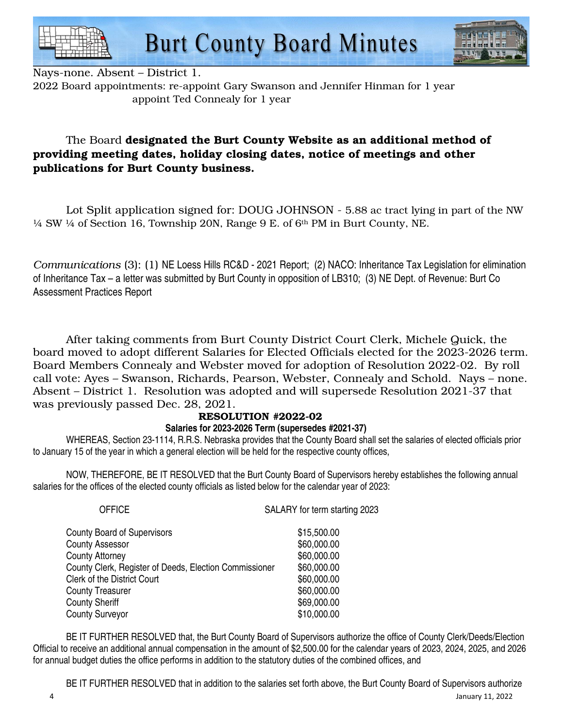



Nays-none. Absent – District 1.

2022 Board appointments: re-appoint Gary Swanson and Jennifer Hinman for 1 year appoint Ted Connealy for 1 year

# The Board designated the Burt County Website as an additional method of providing meeting dates, holiday closing dates, notice of meetings and other publications for Burt County business.

 Lot Split application signed for: DOUG JOHNSON - 5.88 ac tract lying in part of the NW  $\frac{1}{4}$  SW  $\frac{1}{4}$  of Section 16, Township 20N, Range 9 E. of  $6<sup>th</sup>$  PM in Burt County, NE.

*Communications* (3): (1) NE Loess Hills RC&D - 2021 Report; (2) NACO: Inheritance Tax Legislation for elimination of Inheritance Tax – a letter was submitted by Burt County in opposition of LB310; (3) NE Dept. of Revenue: Burt Co Assessment Practices Report

 After taking comments from Burt County District Court Clerk, Michele Quick, the board moved to adopt different Salaries for Elected Officials elected for the 2023-2026 term. Board Members Connealy and Webster moved for adoption of Resolution 2022-02. By roll call vote: Ayes – Swanson, Richards, Pearson, Webster, Connealy and Schold. Nays – none. Absent – District 1. Resolution was adopted and will supersede Resolution 2021-37 that was previously passed Dec. 28, 2021.

### RESOLUTION #2022-02

# **Salaries for 2023-2026 Term (supersedes #2021-37)**

 WHEREAS, Section 23-1114, R.R.S. Nebraska provides that the County Board shall set the salaries of elected officials prior to January 15 of the year in which a general election will be held for the respective county offices,

 NOW, THEREFORE, BE IT RESOLVED that the Burt County Board of Supervisors hereby establishes the following annual salaries for the offices of the elected county officials as listed below for the calendar year of 2023:

| <b>OFFICE</b>                                          | SALARY for term starting 2023 |
|--------------------------------------------------------|-------------------------------|
| <b>County Board of Supervisors</b>                     | \$15,500.00                   |
| <b>County Assessor</b>                                 | \$60,000.00                   |
| <b>County Attorney</b>                                 | \$60,000.00                   |
| County Clerk, Register of Deeds, Election Commissioner | \$60,000.00                   |
| <b>Clerk of the District Court</b>                     | \$60,000.00                   |
| <b>County Treasurer</b>                                | \$60,000.00                   |
| <b>County Sheriff</b>                                  | \$69,000.00                   |
| <b>County Surveyor</b>                                 | \$10,000.00                   |
|                                                        |                               |

 BE IT FURTHER RESOLVED that, the Burt County Board of Supervisors authorize the office of County Clerk/Deeds/Election Official to receive an additional annual compensation in the amount of \$2,500.00 for the calendar years of 2023, 2024, 2025, and 2026 for annual budget duties the office performs in addition to the statutory duties of the combined offices, and

4 January 11, 2022 BE IT FURTHER RESOLVED that in addition to the salaries set forth above, the Burt County Board of Supervisors authorize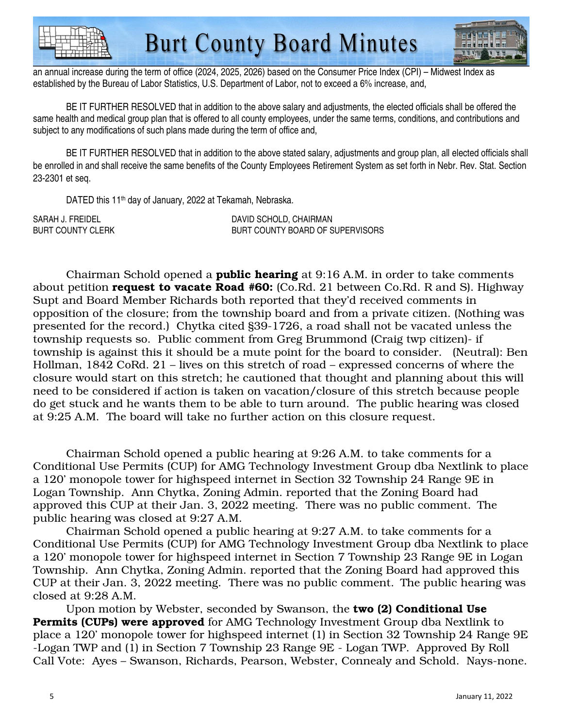



an annual increase during the term of office (2024, 2025, 2026) based on the Consumer Price Index (CPI) – Midwest Index as established by the Bureau of Labor Statistics, U.S. Department of Labor, not to exceed a 6% increase, and,

 BE IT FURTHER RESOLVED that in addition to the above salary and adjustments, the elected officials shall be offered the same health and medical group plan that is offered to all county employees, under the same terms, conditions, and contributions and subject to any modifications of such plans made during the term of office and,

BE IT FURTHER RESOLVED that in addition to the above stated salary, adjustments and group plan, all elected officials shall be enrolled in and shall receive the same benefits of the County Employees Retirement System as set forth in Nebr. Rev. Stat. Section 23-2301 et seq.

DATED this 11<sup>th</sup> day of January, 2022 at Tekamah, Nebraska.

SARAH J. FREIDEL **Example 20 Sean and SCHOLD, CHAIRMAN** BURT COUNTY CLERK BURT COUNTY BOARD OF SUPERVISORS

Chairman Schold opened a **public hearing** at 9:16 A.M. in order to take comments about petition **request to vacate Road #60:** (Co.Rd. 21 between Co.Rd. R and S). Highway Supt and Board Member Richards both reported that they'd received comments in opposition of the closure; from the township board and from a private citizen. (Nothing was presented for the record.) Chytka cited §39-1726, a road shall not be vacated unless the township requests so. Public comment from Greg Brummond (Craig twp citizen)- if township is against this it should be a mute point for the board to consider. (Neutral): Ben Hollman, 1842 CoRd. 21 – lives on this stretch of road – expressed concerns of where the closure would start on this stretch; he cautioned that thought and planning about this will need to be considered if action is taken on vacation/closure of this stretch because people do get stuck and he wants them to be able to turn around. The public hearing was closed at 9:25 A.M. The board will take no further action on this closure request.

 Chairman Schold opened a public hearing at 9:26 A.M. to take comments for a Conditional Use Permits (CUP) for AMG Technology Investment Group dba Nextlink to place a 120' monopole tower for highspeed internet in Section 32 Township 24 Range 9E in Logan Township. Ann Chytka, Zoning Admin. reported that the Zoning Board had approved this CUP at their Jan. 3, 2022 meeting. There was no public comment. The public hearing was closed at 9:27 A.M.

 Chairman Schold opened a public hearing at 9:27 A.M. to take comments for a Conditional Use Permits (CUP) for AMG Technology Investment Group dba Nextlink to place a 120' monopole tower for highspeed internet in Section 7 Township 23 Range 9E in Logan Township. Ann Chytka, Zoning Admin. reported that the Zoning Board had approved this CUP at their Jan. 3, 2022 meeting. There was no public comment. The public hearing was closed at 9:28 A.M.

 Upon motion by Webster, seconded by Swanson, the two (2) Conditional Use Permits (CUPs) were approved for AMG Technology Investment Group dba Nextlink to place a 120' monopole tower for highspeed internet (1) in Section 32 Township 24 Range 9E -Logan TWP and (1) in Section 7 Township 23 Range 9E - Logan TWP. Approved By Roll Call Vote: Ayes – Swanson, Richards, Pearson, Webster, Connealy and Schold. Nays-none.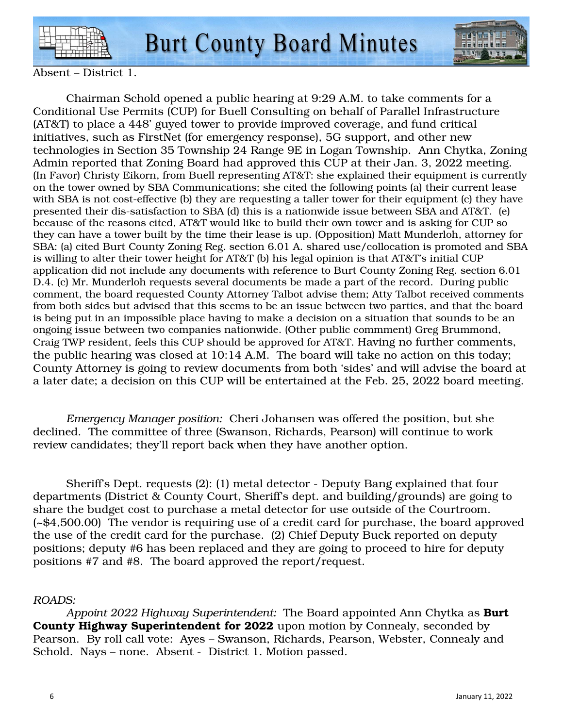

**Burt County Board Minutes** 



Absent – District 1.

 Chairman Schold opened a public hearing at 9:29 A.M. to take comments for a Conditional Use Permits (CUP) for Buell Consulting on behalf of Parallel Infrastructure (AT&T) to place a 448' guyed tower to provide improved coverage, and fund critical initiatives, such as FirstNet (for emergency response), 5G support, and other new technologies in Section 35 Township 24 Range 9E in Logan Township. Ann Chytka, Zoning Admin reported that Zoning Board had approved this CUP at their Jan. 3, 2022 meeting. (In Favor) Christy Eikorn, from Buell representing AT&T: she explained their equipment is currently on the tower owned by SBA Communications; she cited the following points (a) their current lease with SBA is not cost-effective (b) they are requesting a taller tower for their equipment (c) they have presented their dis-satisfaction to SBA (d) this is a nationwide issue between SBA and AT&T. (e) because of the reasons cited, AT&T would like to build their own tower and is asking for CUP so they can have a tower built by the time their lease is up. (Opposition) Matt Munderloh, attorney for SBA: (a) cited Burt County Zoning Reg. section 6.01 A. shared use/collocation is promoted and SBA is willing to alter their tower height for AT&T (b) his legal opinion is that AT&T's initial CUP application did not include any documents with reference to Burt County Zoning Reg. section 6.01 D.4. (c) Mr. Munderloh requests several documents be made a part of the record. During public comment, the board requested County Attorney Talbot advise them; Atty Talbot received comments from both sides but advised that this seems to be an issue between two parties, and that the board is being put in an impossible place having to make a decision on a situation that sounds to be an ongoing issue between two companies nationwide. (Other public commment) Greg Brummond, Craig TWP resident, feels this CUP should be approved for AT&T. Having no further comments, the public hearing was closed at 10:14 A.M. The board will take no action on this today; County Attorney is going to review documents from both 'sides' and will advise the board at a later date; a decision on this CUP will be entertained at the Feb. 25, 2022 board meeting.

*Emergency Manager position:* Cheri Johansen was offered the position, but she declined. The committee of three (Swanson, Richards, Pearson) will continue to work review candidates; they'll report back when they have another option.

 Sheriff's Dept. requests (2): (1) metal detector - Deputy Bang explained that four departments (District & County Court, Sheriff's dept. and building/grounds) are going to share the budget cost to purchase a metal detector for use outside of the Courtroom. (~\$4,500.00) The vendor is requiring use of a credit card for purchase, the board approved the use of the credit card for the purchase. (2) Chief Deputy Buck reported on deputy positions; deputy #6 has been replaced and they are going to proceed to hire for deputy positions #7 and #8. The board approved the report/request.

### *ROADS:*

*Appoint 2022 Highway Superintendent:* The Board appointed Ann Chytka as Burt County Highway Superintendent for 2022 upon motion by Connealy, seconded by Pearson. By roll call vote: Ayes – Swanson, Richards, Pearson, Webster, Connealy and Schold. Nays – none. Absent - District 1. Motion passed.